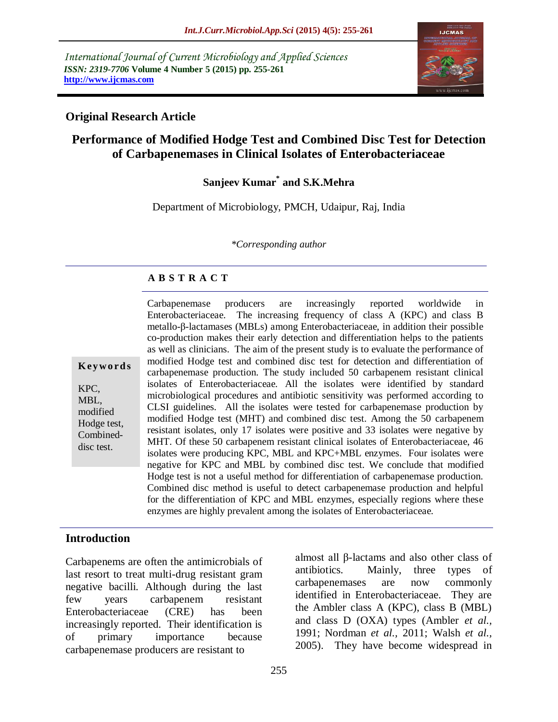*International Journal of Current Microbiology and Applied Sciences ISSN: 2319-7706* **Volume 4 Number 5 (2015) pp. 255-261 http://www.ijcmas.com** 



#### **Original Research Article**

# **Performance of Modified Hodge Test and Combined Disc Test for Detection of Carbapenemases in Clinical Isolates of Enterobacteriaceae**

## **Sanjeev Kumar\* and S.K.Mehra**

Department of Microbiology, PMCH, Udaipur, Raj, India

*\*Corresponding author*

## **A B S T R A C T**

**K ey w o rd s** KPC, MBL, modified Hodge test, Combineddisc test.

Carbapenemase producers are increasingly reported worldwide in Enterobacteriaceae. The increasing frequency of class A (KPC) and class B metallo-β-lactamases (MBLs) among Enterobacteriaceae, in addition their possible co-production makes their early detection and differentiation helps to the patients as well as clinicians. The aim of the present study is to evaluate the performance of modified Hodge test and combined disc test for detection and differentiation of carbapenemase production. The study included 50 carbapenem resistant clinical isolates of Enterobacteriaceae. All the isolates were identified by standard microbiological procedures and antibiotic sensitivity was performed according to CLSI guidelines. All the isolates were tested for carbapenemase production by modified Hodge test (MHT) and combined disc test. Among the 50 carbapenem resistant isolates, only 17 isolates were positive and 33 isolates were negative by MHT. Of these 50 carbapenem resistant clinical isolates of Enterobacteriaceae, 46 isolates were producing KPC, MBL and KPC+MBL enzymes. Four isolates were negative for KPC and MBL by combined disc test. We conclude that modified Hodge test is not a useful method for differentiation of carbapenemase production. Combined disc method is useful to detect carbapenemase production and helpful for the differentiation of KPC and MBL enzymes, especially regions where these enzymes are highly prevalent among the isolates of Enterobacteriaceae.

#### **Introduction**

Carbapenems are often the antimicrobials of last resort to treat multi-drug resistant gram negative bacilli. Although during the last few years carbapenem resistant Enterobacteriaceae (CRE) has been increasingly reported. Their identification is of primary importance because carbapenemase producers are resistant to

almost all β-lactams and also other class of antibiotics. Mainly, three types of carbapenemases are now commonly identified in Enterobacteriaceae. They are the Ambler class A (KPC), class B (MBL) and class D (OXA) types (Ambler *et al.,* 1991; Nordman *et al.,* 2011; Walsh *et al.,* 2005). They have become widespread in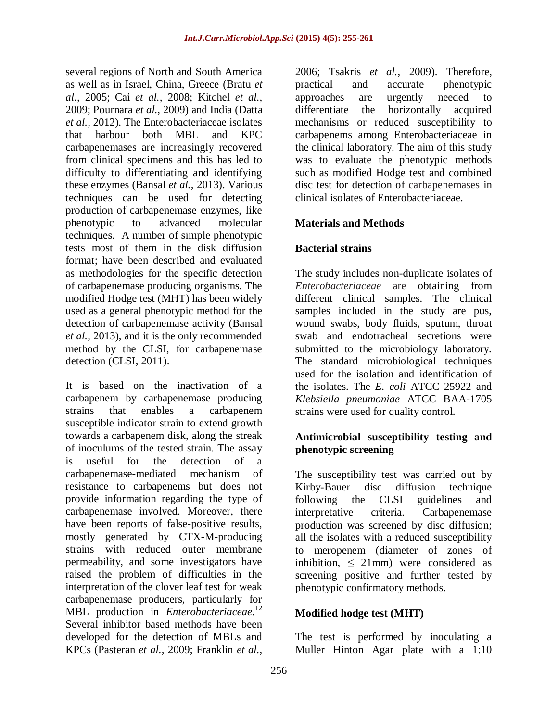several regions of North and South America as well as in Israel, China, Greece (Bratu *et al.,* 2005; Cai *et al.,* 2008; Kitchel *et al.,* 2009; Pournara *et al.,* 2009) and India (Datta *et al.,* 2012). The Enterobacteriaceae isolates that harbour both MBL and KPC carbapenemases are increasingly recovered from clinical specimens and this has led to difficulty to differentiating and identifying these enzymes (Bansal *et al.,* 2013). Various techniques can be used for detecting production of carbapenemase enzymes, like phenotypic to advanced molecular techniques. A number of simple phenotypic tests most of them in the disk diffusion format; have been described and evaluated as methodologies for the specific detection of carbapenemase producing organisms. The modified Hodge test (MHT) has been widely used as a general phenotypic method for the detection of carbapenemase activity (Bansal *et al.,* 2013), and it is the only recommended method by the CLSI, for carbapenemase detection (CLSI, 2011).

It is based on the inactivation of a carbapenem by carbapenemase producing strains that enables a carbapenem susceptible indicator strain to extend growth towards a carbapenem disk, along the streak of inoculums of the tested strain. The assay is useful for the detection of a carbapenemase-mediated mechanism of resistance to carbapenems but does not provide information regarding the type of carbapenemase involved. Moreover, there have been reports of false-positive results, mostly generated by CTX-M-producing strains with reduced outer membrane permeability, and some investigators have raised the problem of difficulties in the interpretation of the clover leaf test for weak carbapenemase producers, particularly for MBL production in *Enterobacteriaceae.*<sup>12</sup> Several inhibitor based methods have been developed for the detection of MBLs and KPCs (Pasteran *et al.,* 2009; Franklin *et al.,*

2006; Tsakris *et al.,* 2009). Therefore, practical and accurate phenotypic approaches are urgently needed to differentiate the horizontally acquired mechanisms or reduced susceptibility to carbapenems among Enterobacteriaceae in the clinical laboratory. The aim of this study was to evaluate the phenotypic methods such as modified Hodge test and combined disc test for detection of carbapenemases in clinical isolates of Enterobacteriaceae.

## **Materials and Methods**

## **Bacterial strains**

The study includes non-duplicate isolates of *Enterobacteriaceae* are obtaining from different clinical samples. The clinical samples included in the study are pus, wound swabs, body fluids, sputum, throat swab and endotracheal secretions were submitted to the microbiology laboratory. The standard microbiological techniques used for the isolation and identification of the isolates. The *E. coli* ATCC 25922 and *Klebsiella pneumoniae* ATCC BAA-1705 strains were used for quality control.

## **Antimicrobial susceptibility testing and phenotypic screening**

The susceptibility test was carried out by Kirby-Bauer disc diffusion technique following the CLSI guidelines and interpretative criteria. Carbapenemase production was screened by disc diffusion; all the isolates with a reduced susceptibility to meropenem (diameter of zones of inhibition,  $\leq$  21mm) were considered as screening positive and further tested by phenotypic confirmatory methods.

#### **Modified hodge test (MHT)**

The test is performed by inoculating a Muller Hinton Agar plate with a 1:10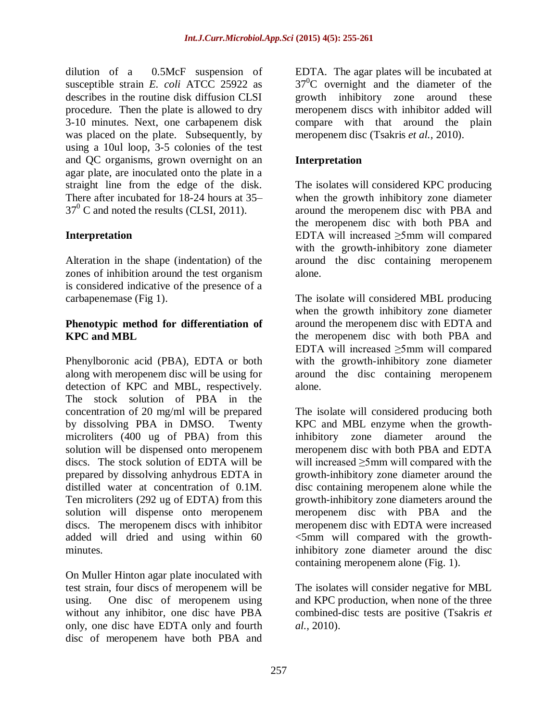dilution of a 0.5McF suspension of susceptible strain *E. coli* ATCC 25922 as describes in the routine disk diffusion CLSI procedure. Then the plate is allowed to dry 3-10 minutes. Next, one carbapenem disk was placed on the plate. Subsequently, by using a 10ul loop, 3-5 colonies of the test and QC organisms, grown overnight on an agar plate, are inoculated onto the plate in a straight line from the edge of the disk. There after incubated for 18-24 hours at 35–  $37^{\circ}$  C and noted the results (CLSI, 2011).

## **Interpretation**

Alteration in the shape (indentation) of the zones of inhibition around the test organism is considered indicative of the presence of a carbapenemase (Fig 1).

#### **Phenotypic method for differentiation of KPC and MBL**

Phenylboronic acid (PBA), EDTA or both along with meropenem disc will be using for detection of KPC and MBL, respectively. The stock solution of PBA in the concentration of 20 mg/ml will be prepared by dissolving PBA in DMSO. Twenty microliters (400 ug of PBA) from this solution will be dispensed onto meropenem discs. The stock solution of EDTA will be prepared by dissolving anhydrous EDTA in distilled water at concentration of 0.1M. Ten microliters (292 ug of EDTA) from this solution will dispense onto meropenem discs. The meropenem discs with inhibitor added will dried and using within 60 minutes.

On Muller Hinton agar plate inoculated with test strain, four discs of meropenem will be using. One disc of meropenem using without any inhibitor, one disc have PBA only, one disc have EDTA only and fourth disc of meropenem have both PBA and

EDTA. The agar plates will be incubated at  $37^0$ C overnight and the diameter of the growth inhibitory zone around these meropenem discs with inhibitor added will compare with that around the plain meropenem disc (Tsakris *et al.,* 2010).

## **Interpretation**

The isolates will considered KPC producing when the growth inhibitory zone diameter around the meropenem disc with PBA and the meropenem disc with both PBA and EDTA will increased ≥5mm will compared with the growth-inhibitory zone diameter around the disc containing meropenem alone.

The isolate will considered MBL producing when the growth inhibitory zone diameter around the meropenem disc with EDTA and the meropenem disc with both PBA and EDTA will increased ≥5mm will compared with the growth-inhibitory zone diameter around the disc containing meropenem alone.

The isolate will considered producing both KPC and MBL enzyme when the growthinhibitory zone diameter around the meropenem disc with both PBA and EDTA will increased ≥5mm will compared with the growth-inhibitory zone diameter around the disc containing meropenem alone while the growth-inhibitory zone diameters around the meropenem disc with PBA and the meropenem disc with EDTA were increased <5mm will compared with the growthinhibitory zone diameter around the disc containing meropenem alone (Fig. 1).

The isolates will consider negative for MBL and KPC production, when none of the three combined-disc tests are positive (Tsakris *et al.,* 2010).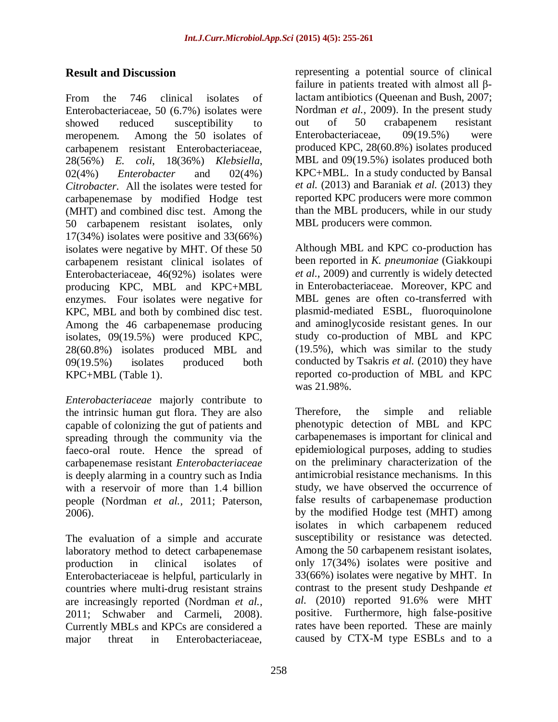## **Result and Discussion**

From the 746 clinical isolates of Enterobacteriaceae, 50 (6.7%) isolates were showed reduced susceptibility to meropenem. Among the 50 isolates of carbapenem resistant Enterobacteriaceae, 28(56%) *E. coli*, 18(36%) *Klebsiella*, 02(4%) *Enterobacter* and 02(4%) *Citrobacter*. All the isolates were tested for carbapenemase by modified Hodge test (MHT) and combined disc test. Among the 50 carbapenem resistant isolates, only 17(34%) isolates were positive and 33(66%) isolates were negative by MHT. Of these 50 carbapenem resistant clinical isolates of Enterobacteriaceae, 46(92%) isolates were producing KPC, MBL and KPC+MBL enzymes. Four isolates were negative for KPC, MBL and both by combined disc test. Among the 46 carbapenemase producing isolates, 09(19.5%) were produced KPC, 28(60.8%) isolates produced MBL and 09(19.5%) isolates produced both KPC+MBL (Table 1).

*Enterobacteriaceae* majorly contribute to the intrinsic human gut flora. They are also capable of colonizing the gut of patients and spreading through the community via the faeco-oral route. Hence the spread of carbapenemase resistant *Enterobacteriaceae* is deeply alarming in a country such as India with a reservoir of more than 1.4 billion people (Nordman *et al.,* 2011; Paterson, 2006).

The evaluation of a simple and accurate laboratory method to detect carbapenemase production in clinical isolates of Enterobacteriaceae is helpful, particularly in countries where multi-drug resistant strains are increasingly reported (Nordman *et al.,* 2011; Schwaber and Carmeli, 2008). Currently MBLs and KPCs are considered a major threat in Enterobacteriaceae,

representing a potential source of clinical failure in patients treated with almost all βlactam antibiotics (Queenan and Bush, 2007; Nordman *et al.,* 2009). In the present study out of 50 crabapenem resistant Enterobacteriaceae, 09(19.5%) were produced KPC, 28(60.8%) isolates produced MBL and 09(19.5%) isolates produced both KPC+MBL. In a study conducted by Bansal *et al.* (2013) and Baraniak *et al.* (2013) they reported KPC producers were more common than the MBL producers, while in our study MBL producers were common.

Although MBL and KPC co-production has been reported in *K. pneumoniae* (Giakkoupi *et al.,* 2009) and currently is widely detected in Enterobacteriaceae. Moreover, KPC and MBL genes are often co-transferred with plasmid-mediated ESBL, fluoroquinolone and aminoglycoside resistant genes. In our study co-production of MBL and KPC (19.5%), which was similar to the study conducted by Tsakris *et al.* (2010) they have reported co-production of MBL and KPC was 21.98%.

Therefore, the simple and reliable phenotypic detection of MBL and KPC carbapenemases is important for clinical and epidemiological purposes, adding to studies on the preliminary characterization of the antimicrobial resistance mechanisms. In this study, we have observed the occurrence of false results of carbapenemase production by the modified Hodge test (MHT) among isolates in which carbapenem reduced susceptibility or resistance was detected. Among the 50 carbapenem resistant isolates, only 17(34%) isolates were positive and 33(66%) isolates were negative by MHT. In contrast to the present study Deshpande *et al.* (2010) reported 91.6% were MHT positive. Furthermore, high false-positive rates have been reported. These are mainly caused by CTX-M type ESBLs and to a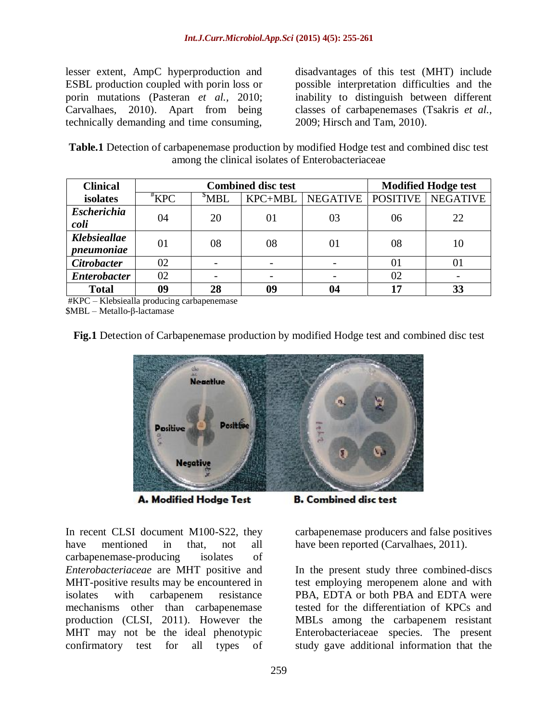lesser extent, AmpC hyperproduction and ESBL production coupled with porin loss or porin mutations (Pasteran *et al.,* 2010; Carvalhaes, 2010). Apart from being technically demanding and time consuming, disadvantages of this test (MHT) include possible interpretation difficulties and the inability to distinguish between different classes of carbapenemases (Tsakris *et al.,* 2009; Hirsch and Tam, 2010).

**Table.1** Detection of carbapenemase production by modified Hodge test and combined disc test among the clinical isolates of Enterobacteriaceae

| <b>Clinical</b>                   | <b>Combined disc test</b> |                          |         |                 | <b>Modified Hodge test</b> |                 |
|-----------------------------------|---------------------------|--------------------------|---------|-----------------|----------------------------|-----------------|
| isolates                          | $*KPC$                    | $^5$ MBL                 | KPC+MBL | <b>NEGATIVE</b> | <b>POSITIVE</b>            | <b>NEGATIVE</b> |
| <b>Escherichia</b><br>coli        | 04                        | 20                       | 01      | 03              | 06                         | 22              |
| <b>Klebsieallae</b><br>pneumoniae | 01                        | 08                       | 08      | 01              | 08                         | 10              |
| <b>Citrobacter</b>                | 02                        | $\overline{\phantom{a}}$ |         |                 | 01                         |                 |
| <b>Enterobacter</b>               | 02                        | $\overline{\phantom{a}}$ |         |                 | 02                         |                 |
| <b>Total</b>                      | 09                        | 28                       | 09      | 04              | 17                         | 33              |

#KPC – Klebsiealla producing carbapenemase

\$MBL – Metallo-β-lactamase

**Fig.1** Detection of Carbapenemase production by modified Hodge test and combined disc test



A. Modified Hodge Test

In recent CLSI document M100-S22, they have mentioned in that, not all carbapenemase-producing isolates of *Enterobacteriaceae* are MHT positive and MHT-positive results may be encountered in isolates with carbapenem resistance mechanisms other than carbapenemase production (CLSI, 2011). However the MHT may not be the ideal phenotypic confirmatory test for all types of

**B. Combined disc test** 

carbapenemase producers and false positives have been reported (Carvalhaes, 2011).

In the present study three combined-discs test employing meropenem alone and with PBA, EDTA or both PBA and EDTA were tested for the differentiation of KPCs and MBLs among the carbapenem resistant Enterobacteriaceae species. The present study gave additional information that the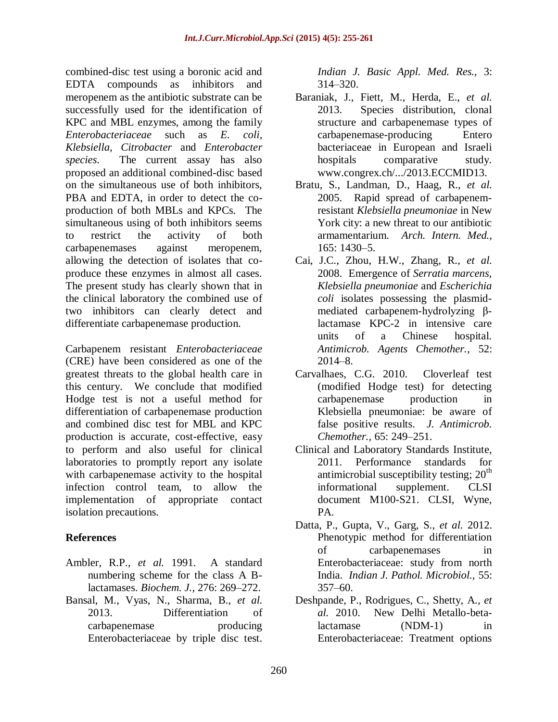combined-disc test using a boronic acid and EDTA compounds as inhibitors and meropenem as the antibiotic substrate can be successfully used for the identification of KPC and MBL enzymes, among the family *Enterobacteriaceae* such as *E. coli, Klebsiella, Citrobacter* and *Enterobacter species*. The current assay has also proposed an additional combined-disc based on the simultaneous use of both inhibitors, PBA and EDTA, in order to detect the coproduction of both MBLs and KPCs. The simultaneous using of both inhibitors seems to restrict the activity of both carbapenemases against meropenem, allowing the detection of isolates that coproduce these enzymes in almost all cases. The present study has clearly shown that in the clinical laboratory the combined use of two inhibitors can clearly detect and differentiate carbapenemase production.

Carbapenem resistant *Enterobacteriaceae* (CRE) have been considered as one of the greatest threats to the global health care in this century. We conclude that modified Hodge test is not a useful method for differentiation of carbapenemase production and combined disc test for MBL and KPC production is accurate, cost-effective, easy to perform and also useful for clinical laboratories to promptly report any isolate with carbapenemase activity to the hospital infection control team, to allow the implementation of appropriate contact isolation precautions.

## **References**

- Ambler, R.P., *et al.* 1991. A standard numbering scheme for the class A Blactamases. *Biochem. J.,* 276: 269–272.
- Bansal, M., Vyas, N., Sharma, B., *et al.*  2013. Differentiation of carbapenemase producing Enterobacteriaceae by triple disc test.

*Indian J. Basic Appl. Med. Res.,* 3: 314–320.

- Baraniak, J., Fiett, M., Herda, E., *et al.*  2013. Species distribution, clonal structure and carbapenemase types of carbapenemase-producing Entero bacteriaceae in European and Israeli hospitals comparative study. www.congrex.ch/.../2013.ECCMID13.
- Bratu, S., Landman, D., Haag, R., *et al.*  2005. Rapid spread of carbapenemresistant *Klebsiella pneumoniae* in New York city: a new threat to our antibiotic armamentarium. *Arch. Intern. Med.,* 165: 1430–5.
- Cai, J.C., Zhou, H.W., Zhang, R., *et al.*  2008. Emergence of *Serratia marcens, Klebsiella pneumoniae* and *Escherichia coli* isolates possessing the plasmidmediated carbapenem-hydrolyzing βlactamase KPC-2 in intensive care units of a Chinese hospital. *Antimicrob. Agents Chemother.,* 52: 2014–8.
- Carvalhaes, C.G. 2010. Cloverleaf test (modified Hodge test) for detecting carbapenemase production in Klebsiella pneumoniae: be aware of false positive results. *J. Antimicrob. Chemother.,* 65: 249–251.
- Clinical and Laboratory Standards Institute, 2011. Performance standards for antimicrobial susceptibility testing;  $20<sup>th</sup>$ informational supplement. CLSI document M100-S21. CLSI, Wyne, PA.
- Datta, P., Gupta, V., Garg, S., *et al.* 2012. Phenotypic method for differentiation of carbapenemases in Enterobacteriaceae: study from north India. *Indian J. Pathol. Microbiol.,* 55: 357–60.
- Deshpande, P., Rodrigues, C., Shetty, A., *et al.* 2010. New Delhi Metallo-betalactamase (NDM-1) in Enterobacteriaceae: Treatment options